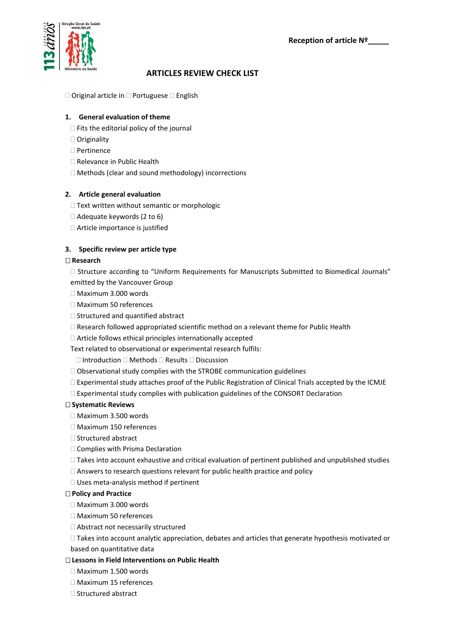**Reception of article Nº\_\_\_\_\_**



# **ARTICLES REVIEW CHECK LIST**

 $\square$  Original article in  $\square$  Portuguese  $\square$  English

## **1. General evaluation of theme**

- $\Box$  Fits the editorial policy of the journal
- □ Originality
- □ Pertinence
- □ Relevance in Public Health
- Methods (clear and sound methodology) incorrections

# **2. Article general evaluation**

- $\Box$  Text written without semantic or morphologic
- $\Box$  Adequate keywords (2 to 6)
- Article importance is justified

# **3. Specific review per article type**

## **Research**

- $\square$  Structure according to "Uniform Requirements for Manuscripts Submitted to Biomedical Journals" emitted by the Vancouver Group
- Maximum 3.000 words
- Maximum 50 references
- $\Box$  Structured and quantified abstract
- $\Box$  Research followed appropriated scientific method on a relevant theme for Public Health
- $\Box$  Article follows ethical principles internationally accepted
- Text related to observational or experimental research fulfils:
- $\Box$  Introduction  $\Box$  Methods  $\Box$  Results  $\Box$  Discussion
- $\Box$  Observational study complies with the STROBE communication guidelines
- $\Box$  Experimental study attaches proof of the Public Registration of Clinical Trials accepted by the ICMJE
- $\Box$  Experimental study complies with publication guidelines of the CONSORT Declaration

## **Systematic Reviews**

- Maximum 3.500 words
- □ Maximum 150 references
- $\Box$  Structured abstract
- Complies with Prisma Declaration
- $\Box$  Takes into account exhaustive and critical evaluation of pertinent published and unpublished studies
- Answers to research questions relevant for public health practice and policy
- □ Uses meta-analysis method if pertinent

## **Policy and Practice**

- $\Box$  Maximum 3.000 words
- Maximum 50 references
- □ Abstract not necessarily structured
- $\Box$  Takes into account analytic appreciation, debates and articles that generate hypothesis motivated or
- based on quantitative data

## **Lessons in Field Interventions on Public Health**

- Maximum 1.500 words
- Maximum 15 references
- $\Box$  Structured abstract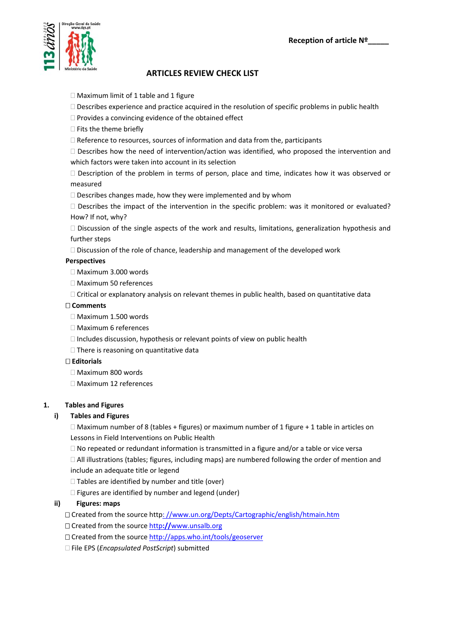

# **ARTICLES REVIEW CHECK LIST**

- Maximum limit of 1 table and 1 figure
- $\square$  Describes experience and practice acquired in the resolution of specific problems in public health
- $\Box$  Provides a convincing evidence of the obtained effect
- $\square$  Fits the theme briefly
- $\Box$  Reference to resources, sources of information and data from the, participants
- $\Box$  Describes how the need of intervention/action was identified, who proposed the intervention and which factors were taken into account in its selection
- $\Box$  Description of the problem in terms of person, place and time, indicates how it was observed or measured
- $\Box$  Describes changes made, how they were implemented and by whom
- $\Box$  Describes the impact of the intervention in the specific problem: was it monitored or evaluated? How? If not, why?
- $\Box$  Discussion of the single aspects of the work and results, limitations, generalization hypothesis and further steps
- $\Box$  Discussion of the role of chance, leadership and management of the developed work

## **Perspectives**

- □ Maximum 3.000 words
- Maximum 50 references
- Critical or explanatory analysis on relevant themes in public health, based on quantitative data

#### **Comments**

- Maximum 1.500 words
- Maximum 6 references
- $\Box$  Includes discussion, hypothesis or relevant points of view on public health
- $\Box$  There is reasoning on quantitative data

## **Editorials**

- Maximum 800 words
- Maximum 12 references

## **1. Tables and Figures**

## **i) Tables and Figures**

 $\Box$  Maximum number of 8 (tables + figures) or maximum number of 1 figure + 1 table in articles on Lessons in Field Interventions on Public Health

 $\Box$  No repeated or redundant information is transmitted in a figure and/or a table or vice versa

 $\Box$  All illustrations (tables; figures, including maps) are numbered following the order of mention and include an adequate title or legend

- $\square$  Tables are identified by number and title (over)
- $\Box$  Figures are identified by number and legend (under)

## **ii) Figures: maps**

Created from the source http: //www.un.org/Depts/Cartographic/english/htmain.htm

Created from the source http**://**www.unsalb.org

Created from the source http://apps.who.int/tools/geoserver

File EPS (*Encapsulated PostScript*) submitted